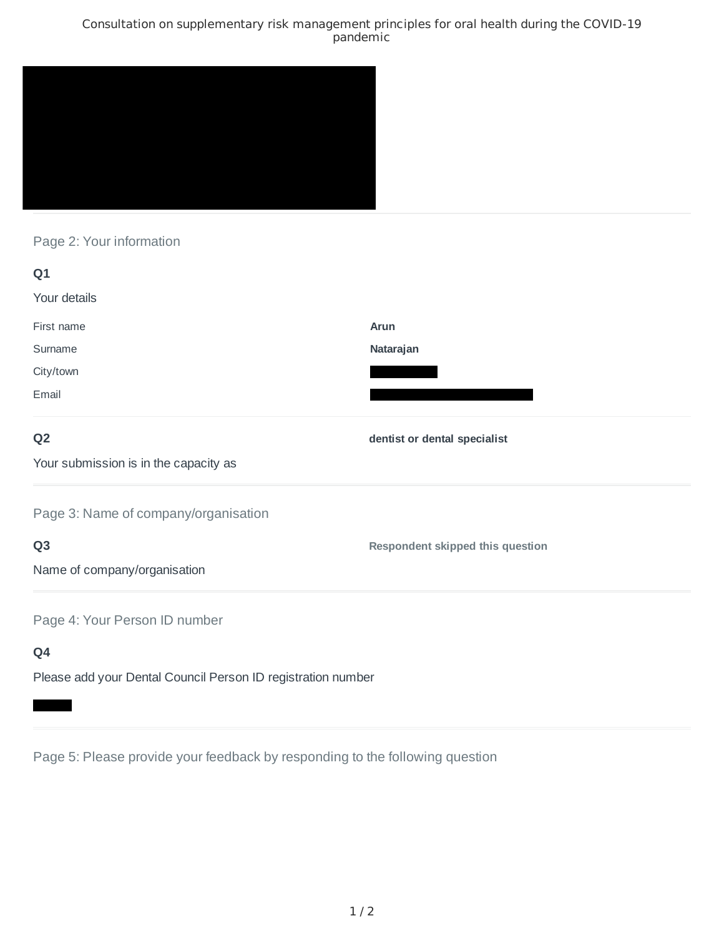## Consultation on supplementary risk management principles for oral health during the COVID-19 pandemic



## Page 2: Your information

| Q1                                                           |                                         |
|--------------------------------------------------------------|-----------------------------------------|
| Your details                                                 |                                         |
| First name                                                   | Arun                                    |
| Surname                                                      | Natarajan                               |
| City/town                                                    |                                         |
| Email                                                        |                                         |
| Q <sub>2</sub>                                               | dentist or dental specialist            |
| Your submission is in the capacity as                        |                                         |
| Page 3: Name of company/organisation                         |                                         |
| Q <sub>3</sub>                                               | <b>Respondent skipped this question</b> |
| Name of company/organisation                                 |                                         |
| Page 4: Your Person ID number                                |                                         |
| Q4                                                           |                                         |
| Please add your Dental Council Person ID registration number |                                         |

Page 5: Please provide your feedback by responding to the following question